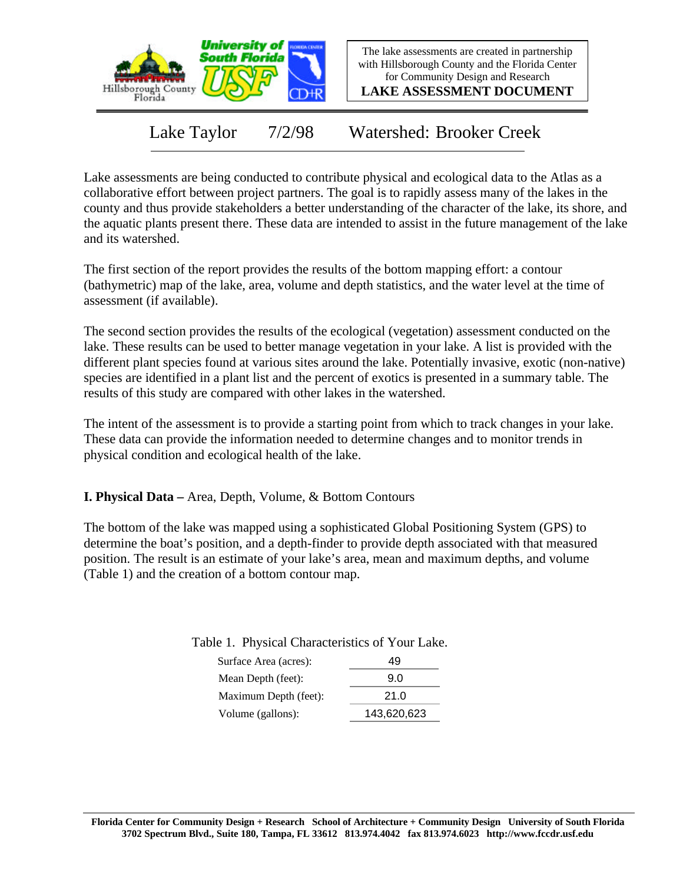

The lake assessments are created in partnership with Hillsborough County and the Florida Center for Community Design and Research

**LAKE ASSESSMENT DOCUMENT**

Lake Taylor 7/2/98 Watershed: Brooker Creek

Lake assessments are being conducted to contribute physical and ecological data to the Atlas as a collaborative effort between project partners. The goal is to rapidly assess many of the lakes in the county and thus provide stakeholders a better understanding of the character of the lake, its shore, and the aquatic plants present there. These data are intended to assist in the future management of the lake and its watershed.

The first section of the report provides the results of the bottom mapping effort: a contour (bathymetric) map of the lake, area, volume and depth statistics, and the water level at the time of assessment (if available).

The second section provides the results of the ecological (vegetation) assessment conducted on the lake. These results can be used to better manage vegetation in your lake. A list is provided with the different plant species found at various sites around the lake. Potentially invasive, exotic (non-native) species are identified in a plant list and the percent of exotics is presented in a summary table. The results of this study are compared with other lakes in the watershed.

The intent of the assessment is to provide a starting point from which to track changes in your lake. These data can provide the information needed to determine changes and to monitor trends in physical condition and ecological health of the lake.

**I. Physical Data –** Area, Depth, Volume, & Bottom Contours

The bottom of the lake was mapped using a sophisticated Global Positioning System (GPS) to determine the boat's position, and a depth-finder to provide depth associated with that measured position. The result is an estimate of your lake's area, mean and maximum depths, and volume (Table 1) and the creation of a bottom contour map.

Table 1. Physical Characteristics of Your Lake.

| Surface Area (acres): | 49          |
|-----------------------|-------------|
| Mean Depth (feet):    | 9.0         |
| Maximum Depth (feet): | 21.0        |
| Volume (gallons):     | 143,620,623 |
|                       |             |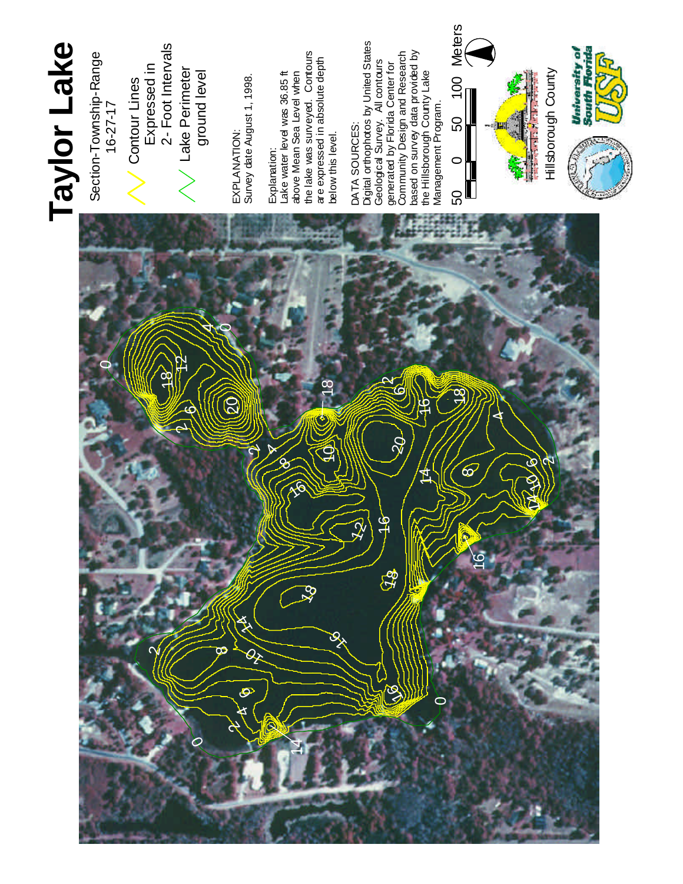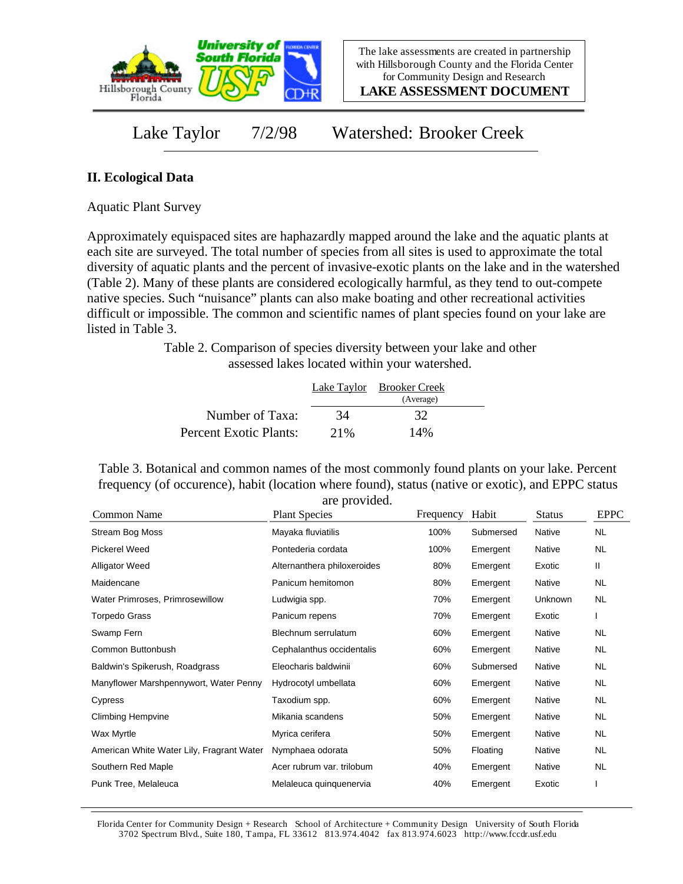

**LAKE ASSESSMENT DOCUMENT**

Lake Taylor 7/2/98 Watershed: Brooker Creek

## **II. Ecological Data**

Aquatic Plant Survey

Approximately equispaced sites are haphazardly mapped around the lake and the aquatic plants at each site are surveyed. The total number of species from all sites is used to approximate the total diversity of aquatic plants and the percent of invasive-exotic plants on the lake and in the watershed (Table 2). Many of these plants are considered ecologically harmful, as they tend to out-compete native species. Such "nuisance" plants can also make boating and other recreational activities difficult or impossible. The common and scientific names of plant species found on your lake are listed in Table 3.

> Table 2. Comparison of species diversity between your lake and other assessed lakes located within your watershed.

|                        |      | Lake Taylor Brooker Creek<br>(Average) |  |
|------------------------|------|----------------------------------------|--|
| Number of Taxa:        | 34   | 32                                     |  |
| Percent Exotic Plants: | 2.1% | 14%                                    |  |

Table 3. Botanical and common names of the most commonly found plants on your lake. Percent frequency (of occurence), habit (location where found), status (native or exotic), and EPPC status are provided.

| Common Name                               | are provided.<br><b>Plant Species</b> | Frequency | Habit     | <b>Status</b> | <b>EPPC</b> |
|-------------------------------------------|---------------------------------------|-----------|-----------|---------------|-------------|
| Stream Bog Moss                           | Mayaka fluviatilis                    | 100%      | Submersed | Native        | <b>NL</b>   |
| <b>Pickerel Weed</b>                      | Pontederia cordata                    | 100%      | Emergent  | Native        | NL          |
| <b>Alligator Weed</b>                     | Alternanthera philoxeroides           | 80%       | Emergent  | Exotic        | Ш           |
| Maidencane                                | Panicum hemitomon                     | 80%       | Emergent  | Native        | NL          |
| Water Primroses, Primrosewillow           | Ludwigia spp.                         | 70%       | Emergent  | Unknown       | <b>NL</b>   |
| Torpedo Grass                             | Panicum repens                        | 70%       | Emergent  | Exotic        |             |
| Swamp Fern                                | Blechnum serrulatum                   | 60%       | Emergent  | Native        | NL          |
| Common Buttonbush                         | Cephalanthus occidentalis             | 60%       | Emergent  | Native        | NL.         |
| Baldwin's Spikerush, Roadgrass            | Eleocharis baldwinii                  | 60%       | Submersed | <b>Native</b> | NL          |
| Manyflower Marshpennywort, Water Penny    | Hydrocotyl umbellata                  | 60%       | Emergent  | Native        | NL.         |
| Cypress                                   | Taxodium spp.                         | 60%       | Emergent  | Native        | NL.         |
| <b>Climbing Hempvine</b>                  | Mikania scandens                      | 50%       | Emergent  | Native        | NL          |
| Wax Myrtle                                | Myrica cerifera                       | 50%       | Emergent  | Native        | NL.         |
| American White Water Lily, Fragrant Water | Nymphaea odorata                      | 50%       | Floating  | Native        | NL.         |
| Southern Red Maple                        | Acer rubrum var. trilobum             | 40%       | Emergent  | Native        | NL          |
| Punk Tree, Melaleuca                      | Melaleuca quinquenervia               | 40%       | Emergent  | Exotic        |             |

Florida Center for Community Design + Research School of Architecture + Community Design University of South Florida 3702 Spectrum Blvd., Suite 180, Tampa, FL 33612 813.974.4042 fax 813.974.6023 http://www.fccdr.usf.edu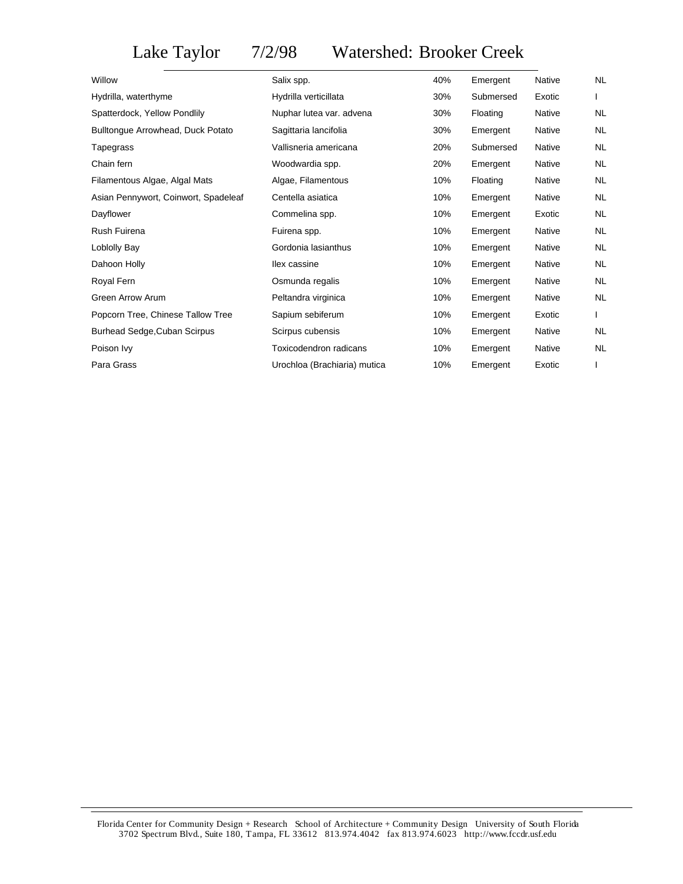## Lake Taylor 7/2/98 Watershed: Brooker Creek

| Salix spp.                   | 40% | Emergent  | Native        | <b>NL</b> |
|------------------------------|-----|-----------|---------------|-----------|
| Hydrilla verticillata        | 30% | Submersed | Exotic        |           |
| Nuphar lutea var. advena     | 30% | Floating  | Native        | NL        |
| Sagittaria lancifolia        | 30% | Emergent  | Native        | NL        |
| Vallisneria americana        | 20% | Submersed | Native        | NL        |
| Woodwardia spp.              | 20% | Emergent  | <b>Native</b> | NL        |
| Algae, Filamentous           | 10% | Floating  | <b>Native</b> | <b>NL</b> |
| Centella asiatica            | 10% | Emergent  | <b>Native</b> | <b>NL</b> |
| Commelina spp.               | 10% | Emergent  | Exotic        | <b>NL</b> |
| Fuirena spp.                 | 10% | Emergent  | <b>Native</b> | <b>NL</b> |
| Gordonia lasianthus          | 10% | Emergent  | <b>Native</b> | <b>NL</b> |
| llex cassine                 | 10% | Emergent  | Native        | <b>NL</b> |
| Osmunda regalis              | 10% | Emergent  | Native        | <b>NL</b> |
| Peltandra virginica          | 10% | Emergent  | <b>Native</b> | NL        |
| Sapium sebiferum             | 10% | Emergent  | Exotic        |           |
| Scirpus cubensis             | 10% | Emergent  | <b>Native</b> | <b>NL</b> |
| Toxicodendron radicans       | 10% | Emergent  | Native        | <b>NL</b> |
| Urochloa (Brachiaria) mutica | 10% | Emergent  | Exotic        |           |
|                              |     |           |               |           |

Florida Center for Community Design + Research School of Architecture + Community Design University of South Florida 3702 Spectrum Blvd., Suite 180, Tampa, FL 33612 813.974.4042 fax 813.974.6023 http://www.fccdr.usf.edu